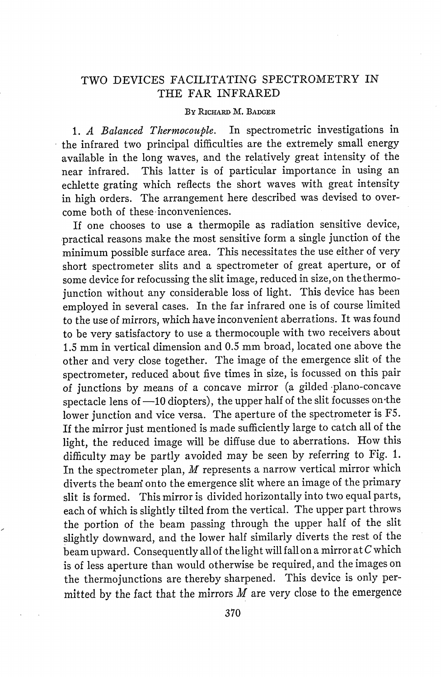## TWO DEVICES FACILITATING SPECTROMETRY IN THE FAR INFRARED

## BY RICHARD M. BADGER

*1. A Balanced Thermocouple.* In spectrometric investigations in the infrared two principal difficulties are the extremely small energy available in the long waves, and the relatively great intensity of the near infrared. This latter is of particular importance in using an echlette grating which reflects the short waves with great intensity in high orders. The arrangement here described was devised to overcome both of these inconveniences.

If one chooses to use a thermopile as radiation sensitive device, practical reasons make the most sensitive form a single junction of the minimum possible surface area. This necessitates the use either of very short spectrometer slits and a spectrometer of great aperture, or of some device for refocussing the slit image, reduced in size, on the thermojunction without any considerable loss of light. This device has been employed in several cases. In the far infrared one is of course limited to the use of mirrors, which have inconvenient aberrations. It was found to be very satisfactory to use a thermocouple with two receivers about 1.5 mm in vertical dimension and 0.5 mm broad, located one above the other and very close together. The image of the emergence slit of the spectrometer, reduced about five times in size, is focussed on this pair of junctions by means of a concave mirror (a gilded plano-concave spectacle lens of  $-10$  diopters), the upper half of the slit focusses on the lower junction and vice versa. The aperture of the spectrometer is F5. If the mirror just mentioned is made sufficiently large to catch all of the light, the reduced image will be diffuse due to aberrations. How this difficulty may be partly avoided may be seen by referring to Fig. 1. In the spectrometer plan,  $M$  represents a narrow vertical mirror which diverts the beani onto the emergence slit where an image of the primary slit is formed. This mirror is divided horizontally into two equal parts, each of which is slightly tilted from the vertical. The upper part throws the portion of the beam passing through the upper half of the slit slightly downward, and the lower half similarly diverts the rest of the beam upward. Consequently all of the light will fall on a mirror at C which is of less aperture than would otherwise be required, and the images on the thermojunctions are thereby sharpened. This device is only permitted by the fact that the mirrors  $M$  are very close to the emergence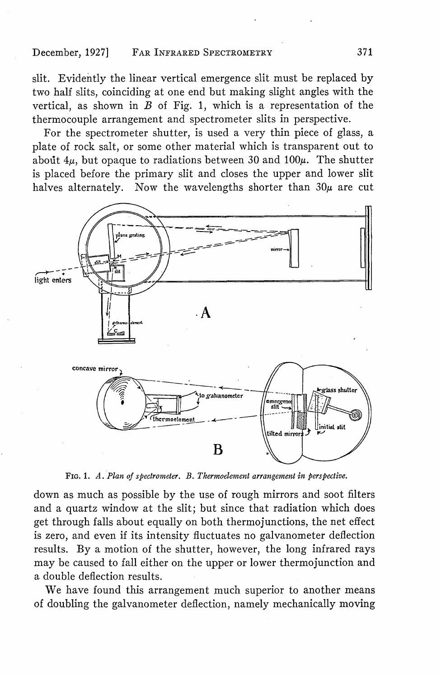slit. Evidently the linear vertical emergence slit must be replaced by two half slits, coinciding at one end but making slight angles with the vertical, as shown in  $B$  of Fig. 1, which is a representation of the thermocouple arrangement and spectrometer slits in perspective.

For the spectrometer shutter, is used a very thin piece of glass, a plate of rock salt, or some other material which is transparent out to about  $4\mu$ , but opaque to radiations between 30 and 100 $\mu$ . The shutter is placed before the primary slit and closes the upper and lower slit halves alternately. Now the wavelengths shorter than  $30\mu$  are cut



FIG. 1. *A. Plan of spectrometer. B. Thermoelement arrangement in perspective.*

down as much as possible by the use of rough mirrors and soot filters and a quartz window at the slit; but since that radiation which does get through falls about equally on both thermojunctions, the net effect is zero, and even if its intensity fluctuates no galvanometer deflection results. By a motion of the shutter, however, the long infrared rays may be caused to fall either on the upper or lower thermojunction and a double deflection results.

We have found this arrangement much superior to another means of doubling the galvanometer deflection, namely mechanically moving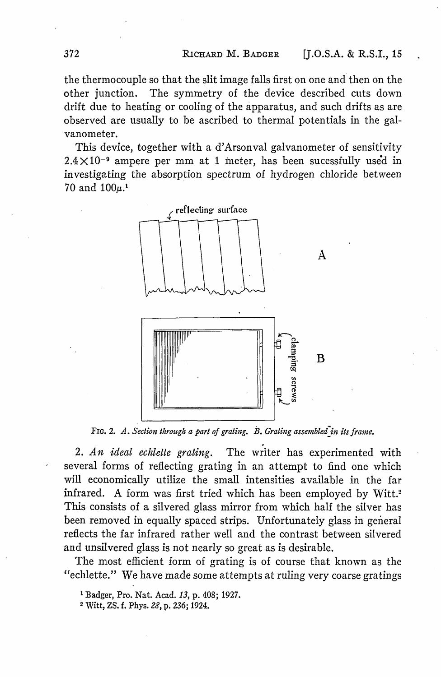the thermocouple so that the slit image falls first on one and then on the other junction. The symmetry of the device described cuts down drift due to heating or cooling of the apparatus, and such drifts as are observed are usually to be ascribed to thermal potentials in the galvanometer.

This device, together with a d'Arsonval galvanometer of sensitivity  $2.4 \times 10^{-9}$  ampere per mm at 1 meter, has been sucessfully used in investigating the absorption spectrum of hydrogen chloride between 70 and  $100\mu$ <sup>1</sup>



FIG. 2. A. Section through a part of grating. B. Grating assembled in its frame.

2. *An ideal echlette grating.* The writer has experimented with several forms of reflecting grating in an attempt to find one which will economically utilize the small intensities available in the far infrared. A form was first tried which has been employed by Witt.<sup>2</sup> This consists of a silvered glass mirror from which half the silver has been removed in equally spaced strips. Unfortunately glass in general reflects the far infrared rather well and the contrast between silvered and unsilvered glass is not nearly so great as is desirable.

The most efficient form of grating is of course that known as the 'echlette." We have made some attempts at ruling very coarse gratings

**<sup>1</sup>** Badger, Pro. Nat. Acad. 13, p. 408; 1927.

<sup>2</sup> Witt, ZS. f. Phys. *28,* p. 236; 1924.